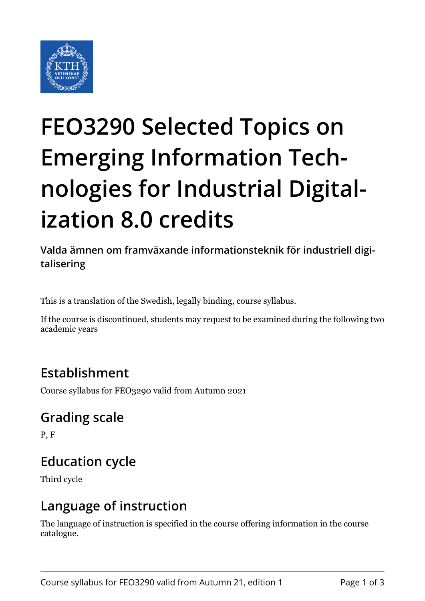

# **FEO3290 Selected Topics on Emerging Information Technologies for Industrial Digitalization 8.0 credits**

**Valda ämnen om framväxande informationsteknik för industriell digitalisering**

This is a translation of the Swedish, legally binding, course syllabus.

If the course is discontinued, students may request to be examined during the following two academic years

## **Establishment**

Course syllabus for FEO3290 valid from Autumn 2021

### **Grading scale**

P, F

# **Education cycle**

Third cycle

### **Language of instruction**

The language of instruction is specified in the course offering information in the course catalogue.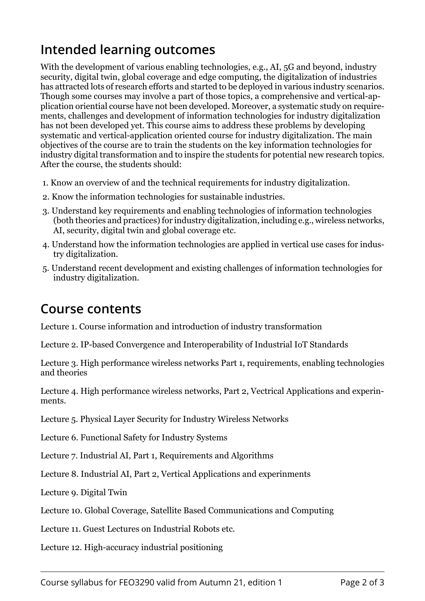# **Intended learning outcomes**

With the development of various enabling technologies, e.g., AI, 5G and beyond, industry security, digital twin, global coverage and edge computing, the digitalization of industries has attracted lots of research efforts and started to be deployed in various industry scenarios. Though some courses may involve a part of those topics, a comprehensive and vertical-application oriential course have not been developed. Moreover, a systematic study on requirements, challenges and development of information technologies for industry digitalization has not been developed yet. This course aims to address these problems by developing systematic and vertical-application oriented course for industry digitalization. The main objectives of the course are to train the students on the key information technologies for industry digital transformation and to inspire the students for potential new research topics. After the course, the students should:

- 1. Know an overview of and the technical requirements for industry digitalization.
- 2. Know the information technologies for sustainable industries.
- 3. Understand key requirements and enabling technologies of information technologies (both theories and practices) for industry digitalization, including e.g., wireless networks, AI, security, digital twin and global coverage etc.
- 4. Understand how the information technologies are applied in vertical use cases for industry digitalization.
- 5. Understand recent development and existing challenges of information technologies for industry digitalization.

#### **Course contents**

Lecture 1. Course information and introduction of industry transformation

Lecture 2. IP-based Convergence and Interoperability of Industrial IoT Standards

Lecture 3. High performance wireless networks Part 1, requirements, enabling technologies and theories

Lecture 4. High performance wireless networks, Part 2, Vectrical Applications and experinments.

Lecture 5. Physical Layer Security for Industry Wireless Networks

Lecture 6. Functional Safety for Industry Systems

Lecture 7. Industrial AI, Part 1, Requirements and Algorithms

Lecture 8. Industrial AI, Part 2, Vertical Applications and experinments

Lecture 9. Digital Twin

Lecture 10. Global Coverage, Satellite Based Communications and Computing

Lecture 11. Guest Lectures on Industrial Robots etc.

Lecture 12. High-accuracy industrial positioning